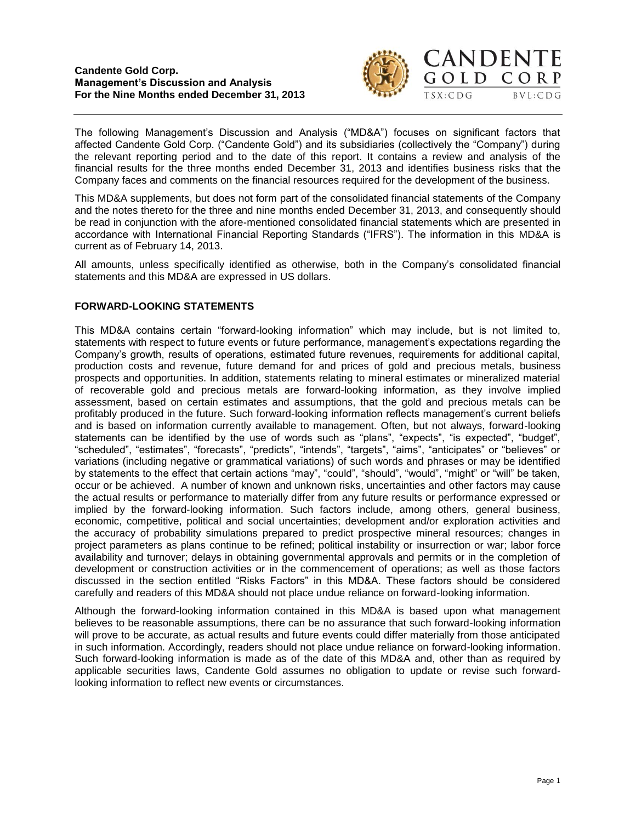

The following Management's Discussion and Analysis ("MD&A") focuses on significant factors that affected Candente Gold Corp. ("Candente Gold") and its subsidiaries (collectively the "Company") during the relevant reporting period and to the date of this report. It contains a review and analysis of the financial results for the three months ended December 31, 2013 and identifies business risks that the Company faces and comments on the financial resources required for the development of the business.

This MD&A supplements, but does not form part of the consolidated financial statements of the Company and the notes thereto for the three and nine months ended December 31, 2013, and consequently should be read in conjunction with the afore-mentioned consolidated financial statements which are presented in accordance with International Financial Reporting Standards ("IFRS"). The information in this MD&A is current as of February 14, 2013.

All amounts, unless specifically identified as otherwise, both in the Company's consolidated financial statements and this MD&A are expressed in US dollars.

# **FORWARD-LOOKING STATEMENTS**

This MD&A contains certain "forward-looking information" which may include, but is not limited to, statements with respect to future events or future performance, management's expectations regarding the Company's growth, results of operations, estimated future revenues, requirements for additional capital, production costs and revenue, future demand for and prices of gold and precious metals, business prospects and opportunities. In addition, statements relating to mineral estimates or mineralized material of recoverable gold and precious metals are forward-looking information, as they involve implied assessment, based on certain estimates and assumptions, that the gold and precious metals can be profitably produced in the future. Such forward-looking information reflects management's current beliefs and is based on information currently available to management. Often, but not always, forward-looking statements can be identified by the use of words such as "plans", "expects", "is expected", "budget", "scheduled", "estimates", "forecasts", "predicts", "intends", "targets", "aims", "anticipates" or "believes" or variations (including negative or grammatical variations) of such words and phrases or may be identified by statements to the effect that certain actions "may", "could", "should", "would", "might" or "will" be taken, occur or be achieved. A number of known and unknown risks, uncertainties and other factors may cause the actual results or performance to materially differ from any future results or performance expressed or implied by the forward-looking information. Such factors include, among others, general business, economic, competitive, political and social uncertainties; development and/or exploration activities and the accuracy of probability simulations prepared to predict prospective mineral resources; changes in project parameters as plans continue to be refined; political instability or insurrection or war; labor force availability and turnover; delays in obtaining governmental approvals and permits or in the completion of development or construction activities or in the commencement of operations; as well as those factors discussed in the section entitled "Risks Factors" in this MD&A. These factors should be considered carefully and readers of this MD&A should not place undue reliance on forward-looking information.

Although the forward-looking information contained in this MD&A is based upon what management believes to be reasonable assumptions, there can be no assurance that such forward-looking information will prove to be accurate, as actual results and future events could differ materially from those anticipated in such information. Accordingly, readers should not place undue reliance on forward-looking information. Such forward-looking information is made as of the date of this MD&A and, other than as required by applicable securities laws, Candente Gold assumes no obligation to update or revise such forwardlooking information to reflect new events or circumstances.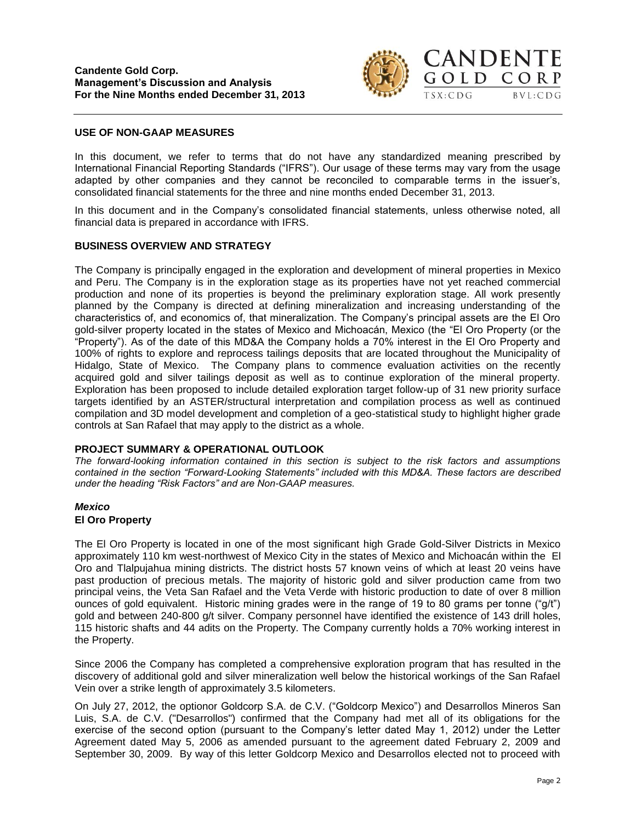

### **USE OF NON-GAAP MEASURES**

In this document, we refer to terms that do not have any standardized meaning prescribed by International Financial Reporting Standards ("IFRS"). Our usage of these terms may vary from the usage adapted by other companies and they cannot be reconciled to comparable terms in the issuer's, consolidated financial statements for the three and nine months ended December 31, 2013.

In this document and in the Company's consolidated financial statements, unless otherwise noted, all financial data is prepared in accordance with IFRS.

#### **BUSINESS OVERVIEW AND STRATEGY**

The Company is principally engaged in the exploration and development of mineral properties in Mexico and Peru. The Company is in the exploration stage as its properties have not yet reached commercial production and none of its properties is beyond the preliminary exploration stage. All work presently planned by the Company is directed at defining mineralization and increasing understanding of the characteristics of, and economics of, that mineralization. The Company's principal assets are the El Oro gold-silver property located in the states of Mexico and Michoacán, Mexico (the "El Oro Property (or the "Property"). As of the date of this MD&A the Company holds a 70% interest in the El Oro Property and 100% of rights to explore and reprocess tailings deposits that are located throughout the Municipality of Hidalgo, State of Mexico. The Company plans to commence evaluation activities on the recently acquired gold and silver tailings deposit as well as to continue exploration of the mineral property. Exploration has been proposed to include detailed exploration target follow-up of 31 new priority surface targets identified by an ASTER/structural interpretation and compilation process as well as continued compilation and 3D model development and completion of a geo-statistical study to highlight higher grade controls at San Rafael that may apply to the district as a whole.

#### **PROJECT SUMMARY & OPERATIONAL OUTLOOK**

*The forward-looking information contained in this section is subject to the risk factors and assumptions contained in the section "Forward-Looking Statements" included with this MD&A. These factors are described under the heading "Risk Factors" and are Non-GAAP measures.*

#### *Mexico*

#### **El Oro Property**

The El Oro Property is located in one of the most significant high Grade Gold-Silver Districts in Mexico approximately 110 km west-northwest of Mexico City in the states of Mexico and Michoacán within the El Oro and Tlalpujahua mining districts. The district hosts 57 known veins of which at least 20 veins have past production of precious metals. The majority of historic gold and silver production came from two principal veins, the Veta San Rafael and the Veta Verde with historic production to date of over 8 million ounces of gold equivalent. Historic mining grades were in the range of 19 to 80 grams per tonne ("g/t") gold and between 240-800 g/t silver. Company personnel have identified the existence of 143 drill holes, 115 historic shafts and 44 adits on the Property. The Company currently holds a 70% working interest in the Property.

Since 2006 the Company has completed a comprehensive exploration program that has resulted in the discovery of additional gold and silver mineralization well below the historical workings of the San Rafael Vein over a strike length of approximately 3.5 kilometers.

On July 27, 2012, the optionor Goldcorp S.A. de C.V. ("Goldcorp Mexico") and Desarrollos Mineros San Luis, S.A. de C.V. ("Desarrollos") confirmed that the Company had met all of its obligations for the exercise of the second option (pursuant to the Company's letter dated May 1, 2012) under the Letter Agreement dated May 5, 2006 as amended pursuant to the agreement dated February 2, 2009 and September 30, 2009. By way of this letter Goldcorp Mexico and Desarrollos elected not to proceed with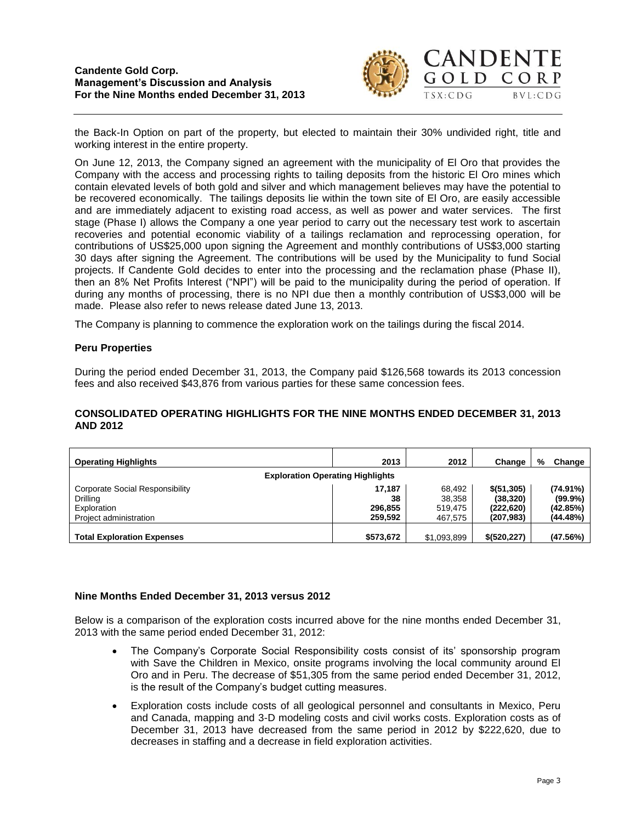

the Back-In Option on part of the property, but elected to maintain their 30% undivided right, title and working interest in the entire property.

On June 12, 2013, the Company signed an agreement with the municipality of El Oro that provides the Company with the access and processing rights to tailing deposits from the historic El Oro mines which contain elevated levels of both gold and silver and which management believes may have the potential to be recovered economically. The tailings deposits lie within the town site of El Oro, are easily accessible and are immediately adjacent to existing road access, as well as power and water services. The first stage (Phase I) allows the Company a one year period to carry out the necessary test work to ascertain recoveries and potential economic viability of a tailings reclamation and reprocessing operation, for contributions of US\$25,000 upon signing the Agreement and monthly contributions of US\$3,000 starting 30 days after signing the Agreement. The contributions will be used by the Municipality to fund Social projects. If Candente Gold decides to enter into the processing and the reclamation phase (Phase II), then an 8% Net Profits Interest ("NPI") will be paid to the municipality during the period of operation. If during any months of processing, there is no NPI due then a monthly contribution of US\$3,000 will be made. Please also refer to news release dated June 13, 2013.

The Company is planning to commence the exploration work on the tailings during the fiscal 2014.

# **Peru Properties**

During the period ended December 31, 2013, the Company paid \$126,568 towards its 2013 concession fees and also received \$43,876 from various parties for these same concession fees.

# **CONSOLIDATED OPERATING HIGHLIGHTS FOR THE NINE MONTHS ENDED DECEMBER 31, 2013 AND 2012**

| <b>Operating Highlights</b>                                                          | 2013                               | 2012                                   | Change                                                | %<br>Change                                       |
|--------------------------------------------------------------------------------------|------------------------------------|----------------------------------------|-------------------------------------------------------|---------------------------------------------------|
| <b>Exploration Operating Highlights</b>                                              |                                    |                                        |                                                       |                                                   |
| Corporate Social Responsibility<br>Drilling<br>Exploration<br>Project administration | 17.187<br>38<br>296.855<br>259.592 | 68,492<br>38,358<br>519.475<br>467.575 | \$ (51, 305)<br>(38, 320)<br>(222, 620)<br>(207, 983) | $(74.91\%)$<br>$(99.9\%)$<br>(42.85%)<br>(44.48%) |
| <b>Total Exploration Expenses</b>                                                    | \$573,672                          | \$1,093,899                            | \$ (520, 227)                                         | (47.56%)                                          |

# **Nine Months Ended December 31, 2013 versus 2012**

Below is a comparison of the exploration costs incurred above for the nine months ended December 31, 2013 with the same period ended December 31, 2012:

- The Company's Corporate Social Responsibility costs consist of its' sponsorship program with Save the Children in Mexico, onsite programs involving the local community around El Oro and in Peru. The decrease of \$51,305 from the same period ended December 31, 2012, is the result of the Company's budget cutting measures.
- Exploration costs include costs of all geological personnel and consultants in Mexico, Peru and Canada, mapping and 3-D modeling costs and civil works costs. Exploration costs as of December 31, 2013 have decreased from the same period in 2012 by \$222,620, due to decreases in staffing and a decrease in field exploration activities.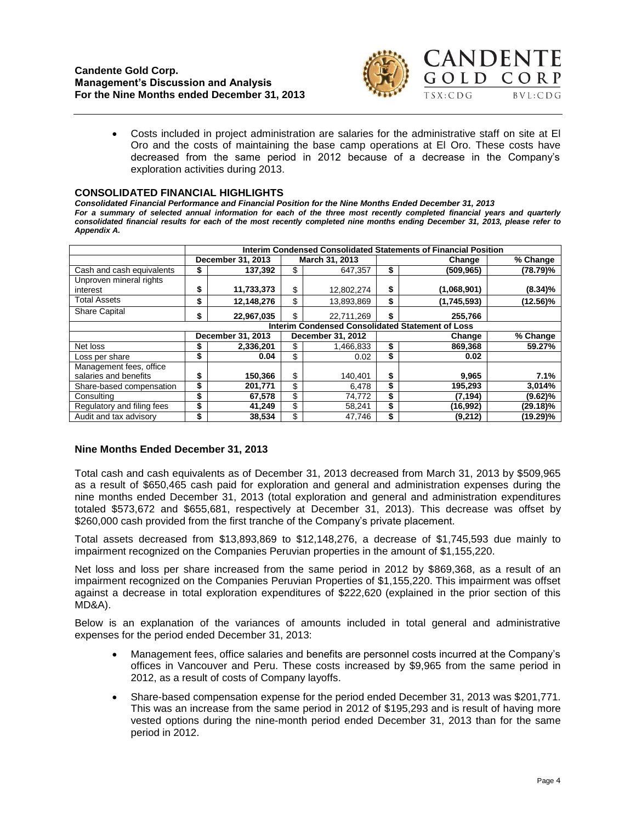

CORP  $BVL:CDG$ 

 Costs included in project administration are salaries for the administrative staff on site at El Oro and the costs of maintaining the base camp operations at El Oro. These costs have decreased from the same period in 2012 because of a decrease in the Company's exploration activities during 2013.

#### **CONSOLIDATED FINANCIAL HIGHLIGHTS**

*Consolidated Financial Performance and Financial Position for the Nine Months Ended December 31, 2013 For a summary of selected annual information for each of the three most recently completed financial years and quarterly consolidated financial results for each of the most recently completed nine months ending December 31, 2013, please refer to Appendix A.*

|                                                  | Interim Condensed Consolidated Statements of Financial Position |                   |                |                   |        |             |             |  |  |  |
|--------------------------------------------------|-----------------------------------------------------------------|-------------------|----------------|-------------------|--------|-------------|-------------|--|--|--|
|                                                  |                                                                 | December 31, 2013 | March 31, 2013 |                   |        | Change      | % Change    |  |  |  |
| Cash and cash equivalents                        |                                                                 | 137.392           | \$             | 647.357           | \$     | (509, 965)  | $(78.79)\%$ |  |  |  |
| Unproven mineral rights                          |                                                                 |                   |                |                   |        |             |             |  |  |  |
| interest                                         | \$                                                              | 11,733,373        | \$             | 12,802,274        | \$     | (1,068,901) | $(8.34)\%$  |  |  |  |
| <b>Total Assets</b>                              | \$                                                              | 12,148,276        | \$             | 13,893,869        | \$     | (1,745,593) | (12.56)%    |  |  |  |
| <b>Share Capital</b>                             | \$                                                              | 22,967,035        | \$             | 22,711,269        | \$     | 255,766     |             |  |  |  |
| Interim Condensed Consolidated Statement of Loss |                                                                 |                   |                |                   |        |             |             |  |  |  |
|                                                  |                                                                 | December 31, 2013 |                | December 31, 2012 | Change |             | % Change    |  |  |  |
| Net loss                                         |                                                                 | 2,336,201         | \$             | 1,466,833         | \$     | 869,368     | 59.27%      |  |  |  |
| Loss per share                                   | \$                                                              | 0.04              | \$             | 0.02              | \$     | 0.02        |             |  |  |  |
| Management fees, office                          |                                                                 |                   |                |                   |        |             |             |  |  |  |
| salaries and benefits                            | \$                                                              | 150,366           | \$             | 140.401           | \$     | 9,965       | 7.1%        |  |  |  |
| Share-based compensation                         | \$                                                              | 201.771           | \$             | 6,478             | \$     | 195,293     | 3,014%      |  |  |  |
| Consulting                                       | \$                                                              | 67,578            | \$             | 74,772            | \$     | (7, 194)    | $(9.62)\%$  |  |  |  |
| Regulatory and filing fees                       | \$                                                              | 41,249            | \$             | 58,241            | \$     | (16, 992)   | (29.18)%    |  |  |  |
| Audit and tax advisory                           | \$                                                              | 38,534            | \$             | 47.746            | \$     | (9,212)     | (19.29)%    |  |  |  |

# **Nine Months Ended December 31, 2013**

Total cash and cash equivalents as of December 31, 2013 decreased from March 31, 2013 by \$509,965 as a result of \$650,465 cash paid for exploration and general and administration expenses during the nine months ended December 31, 2013 (total exploration and general and administration expenditures totaled \$573,672 and \$655,681, respectively at December 31, 2013). This decrease was offset by \$260,000 cash provided from the first tranche of the Company's private placement.

Total assets decreased from \$13,893,869 to \$12,148,276, a decrease of \$1,745,593 due mainly to impairment recognized on the Companies Peruvian properties in the amount of \$1,155,220.

Net loss and loss per share increased from the same period in 2012 by \$869,368, as a result of an impairment recognized on the Companies Peruvian Properties of \$1,155,220. This impairment was offset against a decrease in total exploration expenditures of \$222,620 (explained in the prior section of this MD&A).

Below is an explanation of the variances of amounts included in total general and administrative expenses for the period ended December 31, 2013:

- Management fees, office salaries and benefits are personnel costs incurred at the Company's offices in Vancouver and Peru. These costs increased by \$9,965 from the same period in 2012, as a result of costs of Company layoffs.
- Share-based compensation expense for the period ended December 31, 2013 was \$201,771. This was an increase from the same period in 2012 of \$195,293 and is result of having more vested options during the nine-month period ended December 31, 2013 than for the same period in 2012.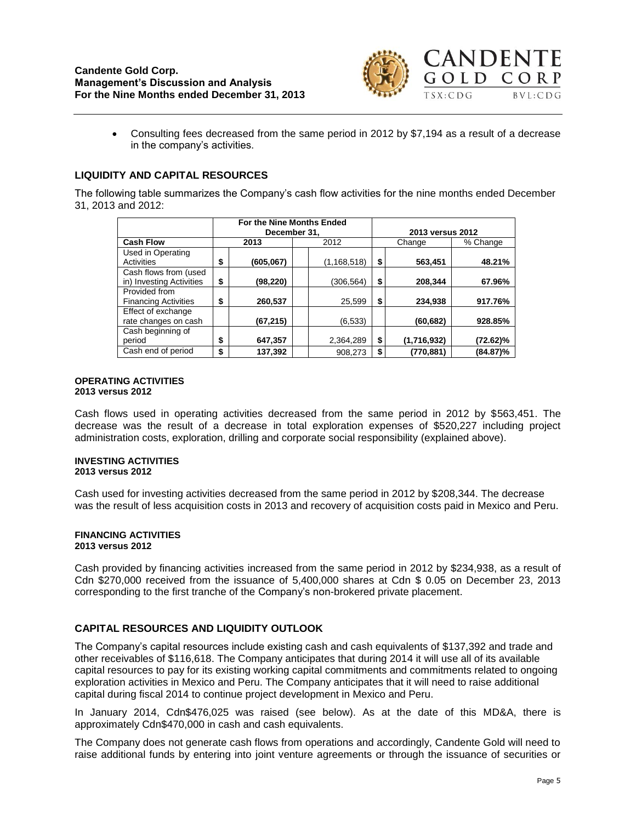

 Consulting fees decreased from the same period in 2012 by \$7,194 as a result of a decrease in the company's activities.

# **LIQUIDITY AND CAPITAL RESOURCES**

The following table summarizes the Company's cash flow activities for the nine months ended December 31, 2013 and 2012:

|                                                   | For the Nine Months Ended<br>December 31, |           |  |               |    | 2013 versus 2012 |          |  |  |  |  |
|---------------------------------------------------|-------------------------------------------|-----------|--|---------------|----|------------------|----------|--|--|--|--|
| <b>Cash Flow</b>                                  |                                           | 2013      |  | 2012          |    | Change           | % Change |  |  |  |  |
| Used in Operating<br><b>Activities</b>            | \$                                        | (605,067) |  | (1, 168, 518) | \$ | 563,451          | 48.21%   |  |  |  |  |
| Cash flows from (used<br>in) Investing Activities | \$                                        | (98, 220) |  | (306,564)     | \$ | 208,344          | 67.96%   |  |  |  |  |
| Provided from<br><b>Financing Activities</b>      | \$                                        | 260,537   |  | 25,599        | \$ | 234,938          | 917.76%  |  |  |  |  |
| Effect of exchange<br>rate changes on cash        |                                           | (67, 215) |  | (6,533)       |    | (60, 682)        | 928.85%  |  |  |  |  |
| Cash beginning of<br>period                       | \$                                        | 647,357   |  | 2,364,289     | \$ | (1,716,932)      | (72.62)% |  |  |  |  |
| Cash end of period                                | \$                                        | 137,392   |  | 908,273       |    | (770,881)        | (84.87)% |  |  |  |  |

#### **OPERATING ACTIVITIES 2013 versus 2012**

Cash flows used in operating activities decreased from the same period in 2012 by \$563,451. The decrease was the result of a decrease in total exploration expenses of \$520,227 including project administration costs, exploration, drilling and corporate social responsibility (explained above).

#### **INVESTING ACTIVITIES 2013 versus 2012**

Cash used for investing activities decreased from the same period in 2012 by \$208,344. The decrease was the result of less acquisition costs in 2013 and recovery of acquisition costs paid in Mexico and Peru.

#### **FINANCING ACTIVITIES 2013 versus 2012**

Cash provided by financing activities increased from the same period in 2012 by \$234,938, as a result of Cdn \$270,000 received from the issuance of 5,400,000 shares at Cdn \$ 0.05 on December 23, 2013 corresponding to the first tranche of the Company's non-brokered private placement.

# **CAPITAL RESOURCES AND LIQUIDITY OUTLOOK**

The Company's capital resources include existing cash and cash equivalents of \$137,392 and trade and other receivables of \$116,618. The Company anticipates that during 2014 it will use all of its available capital resources to pay for its existing working capital commitments and commitments related to ongoing exploration activities in Mexico and Peru. The Company anticipates that it will need to raise additional capital during fiscal 2014 to continue project development in Mexico and Peru.

In January 2014, Cdn\$476,025 was raised (see below). As at the date of this MD&A, there is approximately Cdn\$470,000 in cash and cash equivalents.

The Company does not generate cash flows from operations and accordingly, Candente Gold will need to raise additional funds by entering into joint venture agreements or through the issuance of securities or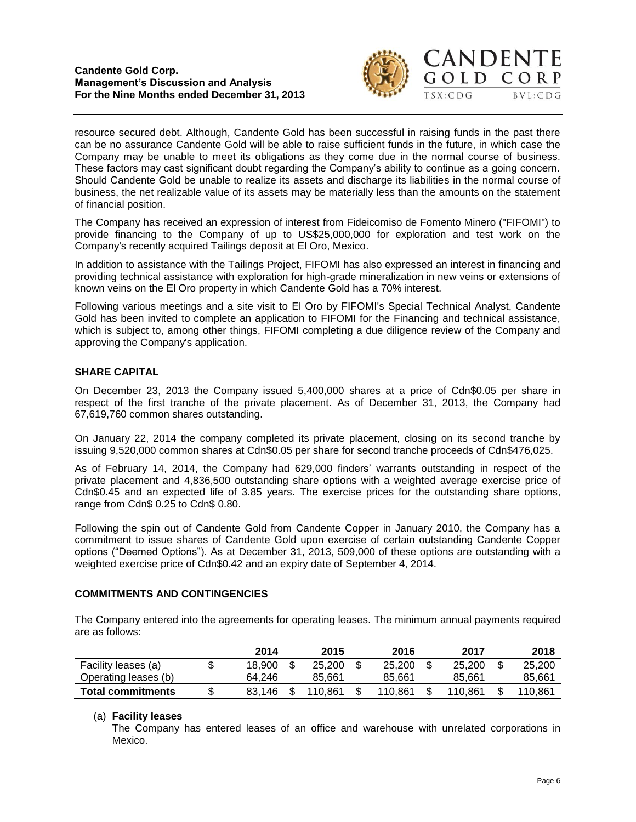

 $BVL:CDG$ 

resource secured debt. Although, Candente Gold has been successful in raising funds in the past there can be no assurance Candente Gold will be able to raise sufficient funds in the future, in which case the Company may be unable to meet its obligations as they come due in the normal course of business. These factors may cast significant doubt regarding the Company's ability to continue as a going concern. Should Candente Gold be unable to realize its assets and discharge its liabilities in the normal course of business, the net realizable value of its assets may be materially less than the amounts on the statement of financial position.

The Company has received an expression of interest from Fideicomiso de Fomento Minero ("FIFOMI") to provide financing to the Company of up to US\$25,000,000 for exploration and test work on the Company's recently acquired Tailings deposit at El Oro, Mexico.

In addition to assistance with the Tailings Project, FIFOMI has also expressed an interest in financing and providing technical assistance with exploration for high-grade mineralization in new veins or extensions of known veins on the El Oro property in which Candente Gold has a 70% interest.

Following various meetings and a site visit to El Oro by FIFOMI's Special Technical Analyst, Candente Gold has been invited to complete an application to FIFOMI for the Financing and technical assistance, which is subject to, among other things, FIFOMI completing a due diligence review of the Company and approving the Company's application.

# **SHARE CAPITAL**

On December 23, 2013 the Company issued 5,400,000 shares at a price of Cdn\$0.05 per share in respect of the first tranche of the private placement. As of December 31, 2013, the Company had 67,619,760 common shares outstanding.

On January 22, 2014 the company completed its private placement, closing on its second tranche by issuing 9,520,000 common shares at Cdn\$0.05 per share for second tranche proceeds of Cdn\$476,025.

As of February 14, 2014, the Company had 629,000 finders' warrants outstanding in respect of the private placement and 4,836,500 outstanding share options with a weighted average exercise price of Cdn\$0.45 and an expected life of 3.85 years. The exercise prices for the outstanding share options, range from Cdn\$ 0.25 to Cdn\$ 0.80.

Following the spin out of Candente Gold from Candente Copper in January 2010, the Company has a commitment to issue shares of Candente Gold upon exercise of certain outstanding Candente Copper options ("Deemed Options"). As at December 31, 2013, 509,000 of these options are outstanding with a weighted exercise price of Cdn\$0.42 and an expiry date of September 4, 2014.

# **COMMITMENTS AND CONTINGENCIES**

The Company entered into the agreements for operating leases. The minimum annual payments required are as follows:

|                          | 2014   | 2015    | 2016    | 2017    | 2018    |
|--------------------------|--------|---------|---------|---------|---------|
| Facility leases (a)      | 18.900 | 25,200  | 25,200  | 25,200  | 25.200  |
| Operating leases (b)     | 64.246 | 85.661  | 85.661  | 85.661  | 85.661  |
| <b>Total commitments</b> | 83.146 | 110.861 | 110.861 | 110.861 | 110.861 |

# (a) **Facility leases**

The Company has entered leases of an office and warehouse with unrelated corporations in Mexico.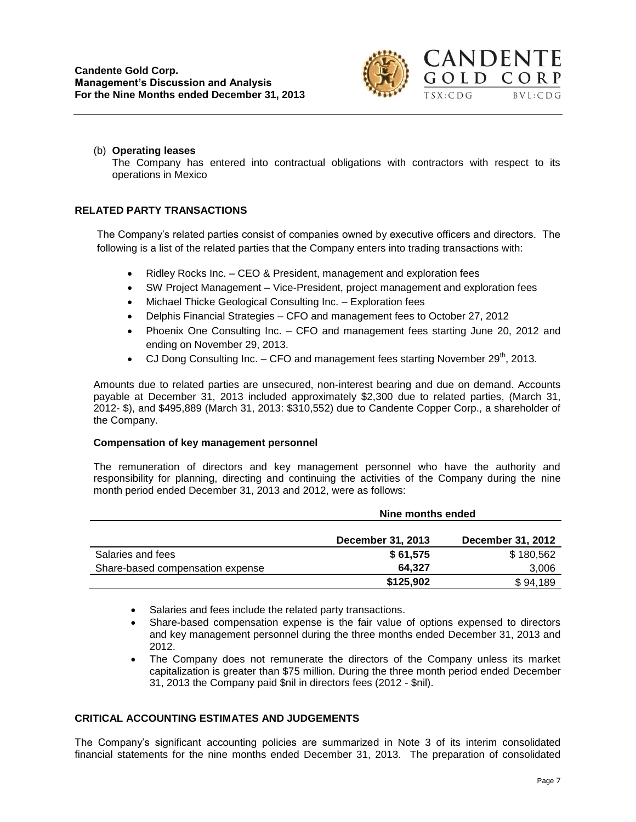

### (b) **Operating leases**

The Company has entered into contractual obligations with contractors with respect to its operations in Mexico

# **RELATED PARTY TRANSACTIONS**

The Company's related parties consist of companies owned by executive officers and directors. The following is a list of the related parties that the Company enters into trading transactions with:

- Ridley Rocks Inc. CEO & President, management and exploration fees
- SW Project Management Vice-President, project management and exploration fees
- Michael Thicke Geological Consulting Inc. Exploration fees
- Delphis Financial Strategies CFO and management fees to October 27, 2012
- Phoenix One Consulting Inc. CFO and management fees starting June 20, 2012 and ending on November 29, 2013.
- CJ Dong Consulting Inc.  $-$  CFO and management fees starting November 29<sup>th</sup>, 2013.

Amounts due to related parties are unsecured, non-interest bearing and due on demand. Accounts payable at December 31, 2013 included approximately \$2,300 due to related parties, (March 31, 2012- \$), and \$495,889 (March 31, 2013: \$310,552) due to Candente Copper Corp., a shareholder of the Company.

# **Compensation of key management personnel**

The remuneration of directors and key management personnel who have the authority and responsibility for planning, directing and continuing the activities of the Company during the nine month period ended December 31, 2013 and 2012, were as follows:

|                                  | Nine months ended        |                          |  |  |  |  |
|----------------------------------|--------------------------|--------------------------|--|--|--|--|
|                                  | <b>December 31, 2013</b> | <b>December 31, 2012</b> |  |  |  |  |
| Salaries and fees                | \$61,575                 | \$180,562                |  |  |  |  |
| Share-based compensation expense | 64.327                   | 3,006                    |  |  |  |  |
|                                  | \$125,902                | \$94,189                 |  |  |  |  |

- Salaries and fees include the related party transactions.
- Share-based compensation expense is the fair value of options expensed to directors and key management personnel during the three months ended December 31, 2013 and 2012.
- The Company does not remunerate the directors of the Company unless its market capitalization is greater than \$75 million. During the three month period ended December 31, 2013 the Company paid \$nil in directors fees (2012 - \$nil).

# **CRITICAL ACCOUNTING ESTIMATES AND JUDGEMENTS**

The Company's significant accounting policies are summarized in Note 3 of its interim consolidated financial statements for the nine months ended December 31, 2013. The preparation of consolidated

 $BVL:CDG$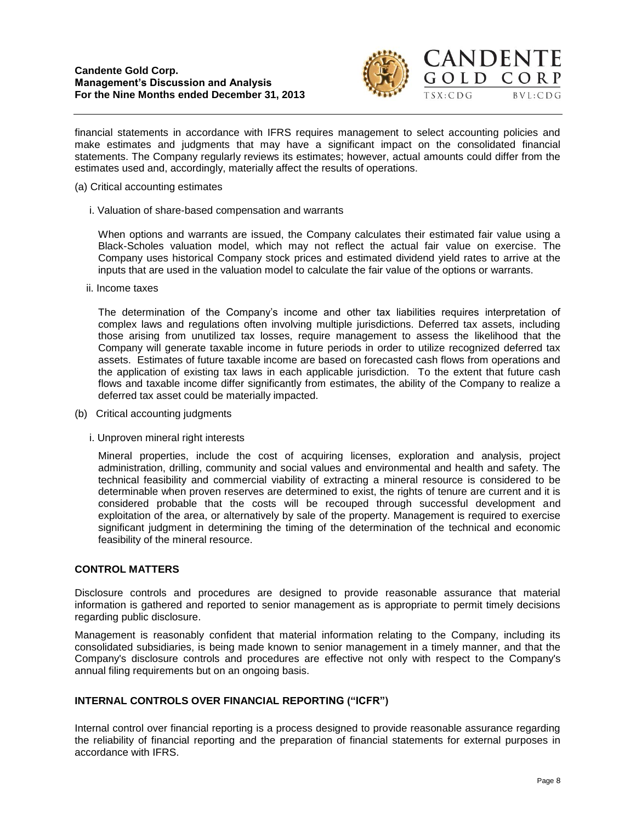

financial statements in accordance with IFRS requires management to select accounting policies and make estimates and judgments that may have a significant impact on the consolidated financial statements. The Company regularly reviews its estimates; however, actual amounts could differ from the estimates used and, accordingly, materially affect the results of operations.

- (a) Critical accounting estimates
	- i. Valuation of share-based compensation and warrants

When options and warrants are issued, the Company calculates their estimated fair value using a Black-Scholes valuation model, which may not reflect the actual fair value on exercise. The Company uses historical Company stock prices and estimated dividend yield rates to arrive at the inputs that are used in the valuation model to calculate the fair value of the options or warrants.

ii. Income taxes

The determination of the Company's income and other tax liabilities requires interpretation of complex laws and regulations often involving multiple jurisdictions. Deferred tax assets, including those arising from unutilized tax losses, require management to assess the likelihood that the Company will generate taxable income in future periods in order to utilize recognized deferred tax assets. Estimates of future taxable income are based on forecasted cash flows from operations and the application of existing tax laws in each applicable jurisdiction. To the extent that future cash flows and taxable income differ significantly from estimates, the ability of the Company to realize a deferred tax asset could be materially impacted.

- (b) Critical accounting judgments
	- i. Unproven mineral right interests

Mineral properties, include the cost of acquiring licenses, exploration and analysis, project administration, drilling, community and social values and environmental and health and safety. The technical feasibility and commercial viability of extracting a mineral resource is considered to be determinable when proven reserves are determined to exist, the rights of tenure are current and it is considered probable that the costs will be recouped through successful development and exploitation of the area, or alternatively by sale of the property. Management is required to exercise significant judgment in determining the timing of the determination of the technical and economic feasibility of the mineral resource.

# **CONTROL MATTERS**

Disclosure controls and procedures are designed to provide reasonable assurance that material information is gathered and reported to senior management as is appropriate to permit timely decisions regarding public disclosure.

Management is reasonably confident that material information relating to the Company, including its consolidated subsidiaries, is being made known to senior management in a timely manner, and that the Company's disclosure controls and procedures are effective not only with respect to the Company's annual filing requirements but on an ongoing basis.

# **INTERNAL CONTROLS OVER FINANCIAL REPORTING ("ICFR")**

Internal control over financial reporting is a process designed to provide reasonable assurance regarding the reliability of financial reporting and the preparation of financial statements for external purposes in accordance with IFRS.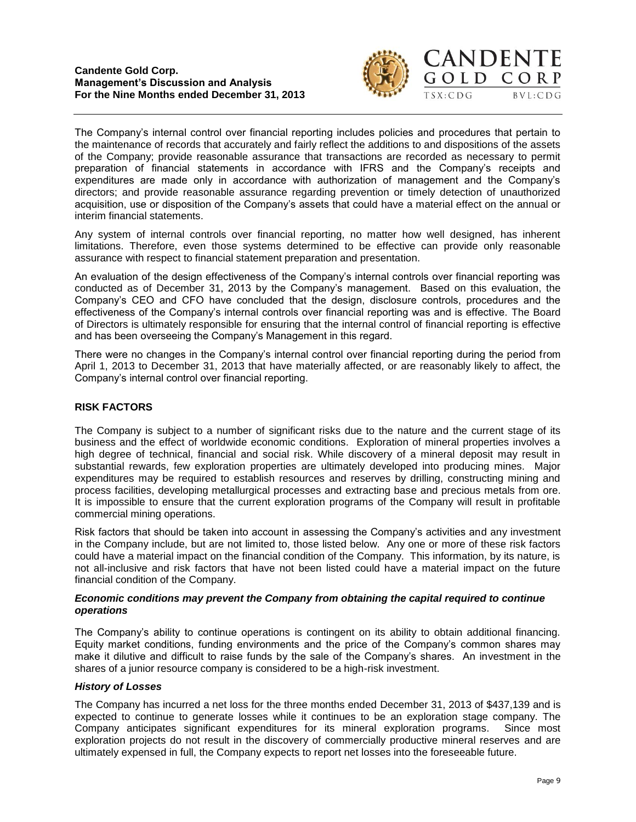

 $BVL:CDG$ 

The Company's internal control over financial reporting includes policies and procedures that pertain to the maintenance of records that accurately and fairly reflect the additions to and dispositions of the assets of the Company; provide reasonable assurance that transactions are recorded as necessary to permit preparation of financial statements in accordance with IFRS and the Company's receipts and expenditures are made only in accordance with authorization of management and the Company's directors; and provide reasonable assurance regarding prevention or timely detection of unauthorized acquisition, use or disposition of the Company's assets that could have a material effect on the annual or interim financial statements.

Any system of internal controls over financial reporting, no matter how well designed, has inherent limitations. Therefore, even those systems determined to be effective can provide only reasonable assurance with respect to financial statement preparation and presentation.

An evaluation of the design effectiveness of the Company's internal controls over financial reporting was conducted as of December 31, 2013 by the Company's management. Based on this evaluation, the Company's CEO and CFO have concluded that the design, disclosure controls, procedures and the effectiveness of the Company's internal controls over financial reporting was and is effective. The Board of Directors is ultimately responsible for ensuring that the internal control of financial reporting is effective and has been overseeing the Company's Management in this regard.

There were no changes in the Company's internal control over financial reporting during the period from April 1, 2013 to December 31, 2013 that have materially affected, or are reasonably likely to affect, the Company's internal control over financial reporting.

# **RISK FACTORS**

The Company is subject to a number of significant risks due to the nature and the current stage of its business and the effect of worldwide economic conditions. Exploration of mineral properties involves a high degree of technical, financial and social risk. While discovery of a mineral deposit may result in substantial rewards, few exploration properties are ultimately developed into producing mines. Major expenditures may be required to establish resources and reserves by drilling, constructing mining and process facilities, developing metallurgical processes and extracting base and precious metals from ore. It is impossible to ensure that the current exploration programs of the Company will result in profitable commercial mining operations.

Risk factors that should be taken into account in assessing the Company's activities and any investment in the Company include, but are not limited to, those listed below. Any one or more of these risk factors could have a material impact on the financial condition of the Company. This information, by its nature, is not all-inclusive and risk factors that have not been listed could have a material impact on the future financial condition of the Company.

#### *Economic conditions may prevent the Company from obtaining the capital required to continue operations*

The Company's ability to continue operations is contingent on its ability to obtain additional financing. Equity market conditions, funding environments and the price of the Company's common shares may make it dilutive and difficult to raise funds by the sale of the Company's shares. An investment in the shares of a junior resource company is considered to be a high-risk investment.

# *History of Losses*

The Company has incurred a net loss for the three months ended December 31, 2013 of \$437,139 and is expected to continue to generate losses while it continues to be an exploration stage company. The Company anticipates significant expenditures for its mineral exploration programs. Since most exploration projects do not result in the discovery of commercially productive mineral reserves and are ultimately expensed in full, the Company expects to report net losses into the foreseeable future.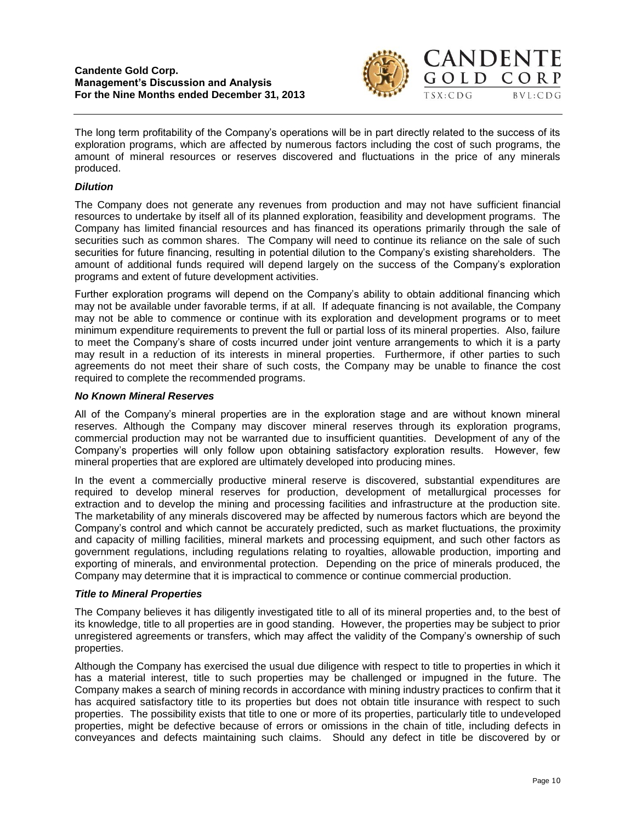

OLD CORP

 $BVL:CDG$ 

The long term profitability of the Company's operations will be in part directly related to the success of its exploration programs, which are affected by numerous factors including the cost of such programs, the amount of mineral resources or reserves discovered and fluctuations in the price of any minerals produced.

# *Dilution*

The Company does not generate any revenues from production and may not have sufficient financial resources to undertake by itself all of its planned exploration, feasibility and development programs. The Company has limited financial resources and has financed its operations primarily through the sale of securities such as common shares. The Company will need to continue its reliance on the sale of such securities for future financing, resulting in potential dilution to the Company's existing shareholders. The amount of additional funds required will depend largely on the success of the Company's exploration programs and extent of future development activities.

Further exploration programs will depend on the Company's ability to obtain additional financing which may not be available under favorable terms, if at all. If adequate financing is not available, the Company may not be able to commence or continue with its exploration and development programs or to meet minimum expenditure requirements to prevent the full or partial loss of its mineral properties. Also, failure to meet the Company's share of costs incurred under joint venture arrangements to which it is a party may result in a reduction of its interests in mineral properties. Furthermore, if other parties to such agreements do not meet their share of such costs, the Company may be unable to finance the cost required to complete the recommended programs.

# *No Known Mineral Reserves*

All of the Company's mineral properties are in the exploration stage and are without known mineral reserves. Although the Company may discover mineral reserves through its exploration programs, commercial production may not be warranted due to insufficient quantities. Development of any of the Company's properties will only follow upon obtaining satisfactory exploration results. However, few mineral properties that are explored are ultimately developed into producing mines.

In the event a commercially productive mineral reserve is discovered, substantial expenditures are required to develop mineral reserves for production, development of metallurgical processes for extraction and to develop the mining and processing facilities and infrastructure at the production site. The marketability of any minerals discovered may be affected by numerous factors which are beyond the Company's control and which cannot be accurately predicted, such as market fluctuations, the proximity and capacity of milling facilities, mineral markets and processing equipment, and such other factors as government regulations, including regulations relating to royalties, allowable production, importing and exporting of minerals, and environmental protection. Depending on the price of minerals produced, the Company may determine that it is impractical to commence or continue commercial production.

# *Title to Mineral Properties*

The Company believes it has diligently investigated title to all of its mineral properties and, to the best of its knowledge, title to all properties are in good standing. However, the properties may be subject to prior unregistered agreements or transfers, which may affect the validity of the Company's ownership of such properties.

Although the Company has exercised the usual due diligence with respect to title to properties in which it has a material interest, title to such properties may be challenged or impugned in the future. The Company makes a search of mining records in accordance with mining industry practices to confirm that it has acquired satisfactory title to its properties but does not obtain title insurance with respect to such properties. The possibility exists that title to one or more of its properties, particularly title to undeveloped properties, might be defective because of errors or omissions in the chain of title, including defects in conveyances and defects maintaining such claims. Should any defect in title be discovered by or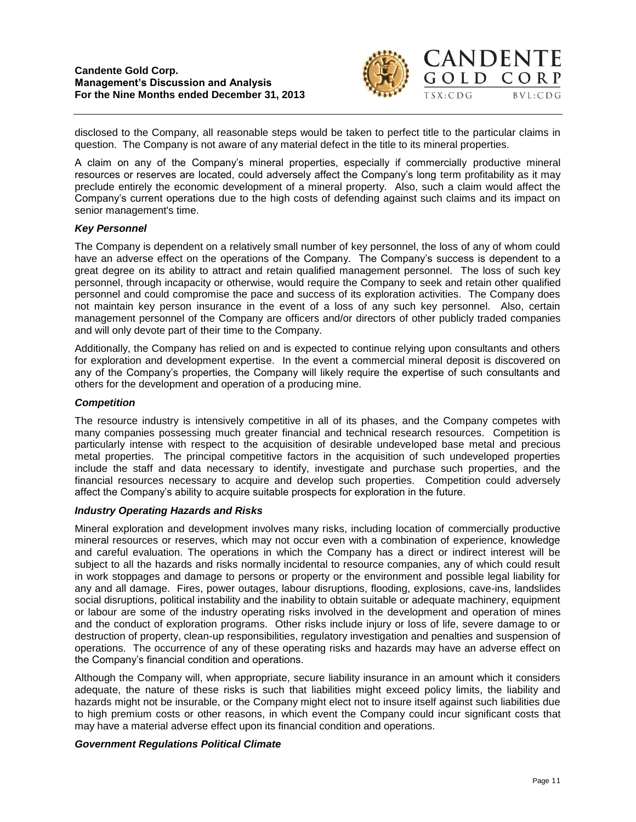

disclosed to the Company, all reasonable steps would be taken to perfect title to the particular claims in question. The Company is not aware of any material defect in the title to its mineral properties.

A claim on any of the Company's mineral properties, especially if commercially productive mineral resources or reserves are located, could adversely affect the Company's long term profitability as it may preclude entirely the economic development of a mineral property. Also, such a claim would affect the Company's current operations due to the high costs of defending against such claims and its impact on senior management's time.

#### *Key Personnel*

The Company is dependent on a relatively small number of key personnel, the loss of any of whom could have an adverse effect on the operations of the Company. The Company's success is dependent to a great degree on its ability to attract and retain qualified management personnel. The loss of such key personnel, through incapacity or otherwise, would require the Company to seek and retain other qualified personnel and could compromise the pace and success of its exploration activities. The Company does not maintain key person insurance in the event of a loss of any such key personnel. Also, certain management personnel of the Company are officers and/or directors of other publicly traded companies and will only devote part of their time to the Company.

Additionally, the Company has relied on and is expected to continue relying upon consultants and others for exploration and development expertise. In the event a commercial mineral deposit is discovered on any of the Company's properties, the Company will likely require the expertise of such consultants and others for the development and operation of a producing mine.

#### *Competition*

The resource industry is intensively competitive in all of its phases, and the Company competes with many companies possessing much greater financial and technical research resources. Competition is particularly intense with respect to the acquisition of desirable undeveloped base metal and precious metal properties. The principal competitive factors in the acquisition of such undeveloped properties include the staff and data necessary to identify, investigate and purchase such properties, and the financial resources necessary to acquire and develop such properties. Competition could adversely affect the Company's ability to acquire suitable prospects for exploration in the future.

### *Industry Operating Hazards and Risks*

Mineral exploration and development involves many risks, including location of commercially productive mineral resources or reserves, which may not occur even with a combination of experience, knowledge and careful evaluation. The operations in which the Company has a direct or indirect interest will be subject to all the hazards and risks normally incidental to resource companies, any of which could result in work stoppages and damage to persons or property or the environment and possible legal liability for any and all damage. Fires, power outages, labour disruptions, flooding, explosions, cave-ins, landslides social disruptions, political instability and the inability to obtain suitable or adequate machinery, equipment or labour are some of the industry operating risks involved in the development and operation of mines and the conduct of exploration programs. Other risks include injury or loss of life, severe damage to or destruction of property, clean-up responsibilities, regulatory investigation and penalties and suspension of operations. The occurrence of any of these operating risks and hazards may have an adverse effect on the Company's financial condition and operations.

Although the Company will, when appropriate, secure liability insurance in an amount which it considers adequate, the nature of these risks is such that liabilities might exceed policy limits, the liability and hazards might not be insurable, or the Company might elect not to insure itself against such liabilities due to high premium costs or other reasons, in which event the Company could incur significant costs that may have a material adverse effect upon its financial condition and operations.

#### *Government Regulations Political Climate*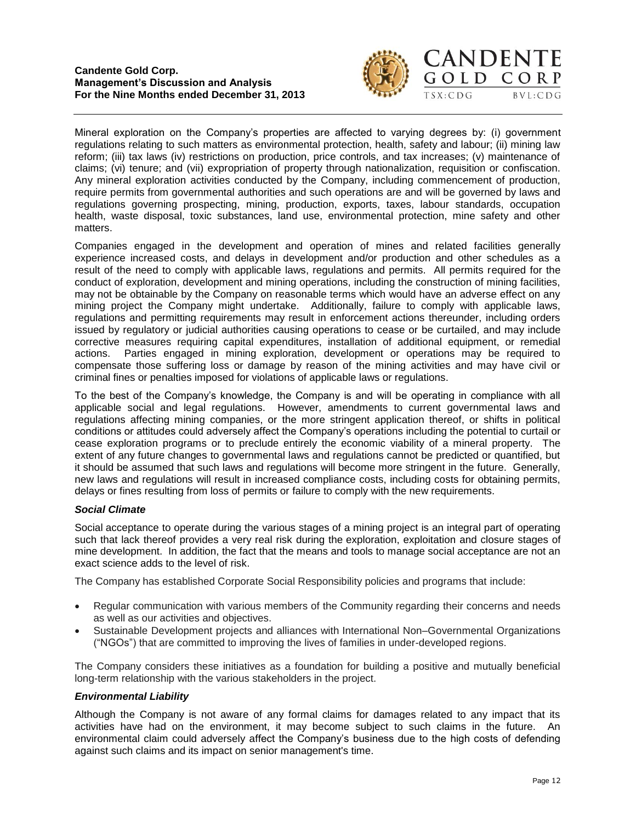

# **CANDENTE** GOLD CORP  $BVL:CDG$

Mineral exploration on the Company's properties are affected to varying degrees by: (i) government regulations relating to such matters as environmental protection, health, safety and labour; (ii) mining law reform; (iii) tax laws (iv) restrictions on production, price controls, and tax increases; (v) maintenance of claims; (vi) tenure; and (vii) expropriation of property through nationalization, requisition or confiscation. Any mineral exploration activities conducted by the Company, including commencement of production, require permits from governmental authorities and such operations are and will be governed by laws and regulations governing prospecting, mining, production, exports, taxes, labour standards, occupation health, waste disposal, toxic substances, land use, environmental protection, mine safety and other matters.

Companies engaged in the development and operation of mines and related facilities generally experience increased costs, and delays in development and/or production and other schedules as a result of the need to comply with applicable laws, regulations and permits. All permits required for the conduct of exploration, development and mining operations, including the construction of mining facilities, may not be obtainable by the Company on reasonable terms which would have an adverse effect on any mining project the Company might undertake. Additionally, failure to comply with applicable laws, regulations and permitting requirements may result in enforcement actions thereunder, including orders issued by regulatory or judicial authorities causing operations to cease or be curtailed, and may include corrective measures requiring capital expenditures, installation of additional equipment, or remedial actions. Parties engaged in mining exploration, development or operations may be required to compensate those suffering loss or damage by reason of the mining activities and may have civil or criminal fines or penalties imposed for violations of applicable laws or regulations.

To the best of the Company's knowledge, the Company is and will be operating in compliance with all applicable social and legal regulations. However, amendments to current governmental laws and regulations affecting mining companies, or the more stringent application thereof, or shifts in political conditions or attitudes could adversely affect the Company's operations including the potential to curtail or cease exploration programs or to preclude entirely the economic viability of a mineral property. The extent of any future changes to governmental laws and regulations cannot be predicted or quantified, but it should be assumed that such laws and regulations will become more stringent in the future. Generally, new laws and regulations will result in increased compliance costs, including costs for obtaining permits, delays or fines resulting from loss of permits or failure to comply with the new requirements.

# *Social Climate*

Social acceptance to operate during the various stages of a mining project is an integral part of operating such that lack thereof provides a very real risk during the exploration, exploitation and closure stages of mine development. In addition, the fact that the means and tools to manage social acceptance are not an exact science adds to the level of risk.

The Company has established Corporate Social Responsibility policies and programs that include:

- Regular communication with various members of the Community regarding their concerns and needs as well as our activities and objectives.
- Sustainable Development projects and alliances with International Non–Governmental Organizations ("NGOs") that are committed to improving the lives of families in under-developed regions.

The Company considers these initiatives as a foundation for building a positive and mutually beneficial long-term relationship with the various stakeholders in the project.

# *Environmental Liability*

Although the Company is not aware of any formal claims for damages related to any impact that its activities have had on the environment, it may become subject to such claims in the future. An environmental claim could adversely affect the Company's business due to the high costs of defending against such claims and its impact on senior management's time.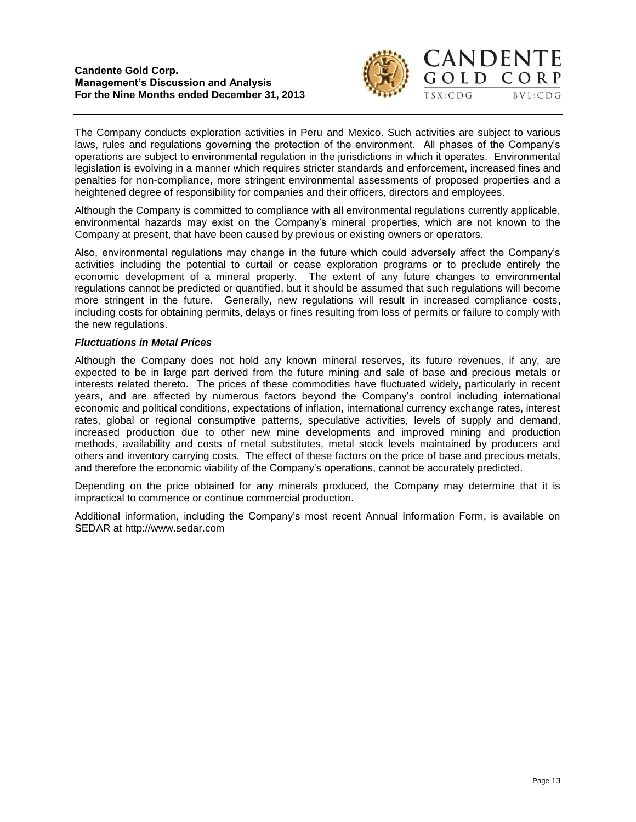

The Company conducts exploration activities in Peru and Mexico. Such activities are subject to various laws, rules and regulations governing the protection of the environment. All phases of the Company's operations are subject to environmental regulation in the jurisdictions in which it operates. Environmental legislation is evolving in a manner which requires stricter standards and enforcement, increased fines and penalties for non-compliance, more stringent environmental assessments of proposed properties and a heightened degree of responsibility for companies and their officers, directors and employees.

Although the Company is committed to compliance with all environmental regulations currently applicable, environmental hazards may exist on the Company's mineral properties, which are not known to the Company at present, that have been caused by previous or existing owners or operators.

Also, environmental regulations may change in the future which could adversely affect the Company's activities including the potential to curtail or cease exploration programs or to preclude entirely the economic development of a mineral property. The extent of any future changes to environmental regulations cannot be predicted or quantified, but it should be assumed that such regulations will become more stringent in the future. Generally, new regulations will result in increased compliance costs, including costs for obtaining permits, delays or fines resulting from loss of permits or failure to comply with the new regulations.

# *Fluctuations in Metal Prices*

Although the Company does not hold any known mineral reserves, its future revenues, if any, are expected to be in large part derived from the future mining and sale of base and precious metals or interests related thereto. The prices of these commodities have fluctuated widely, particularly in recent years, and are affected by numerous factors beyond the Company's control including international economic and political conditions, expectations of inflation, international currency exchange rates, interest rates, global or regional consumptive patterns, speculative activities, levels of supply and demand, increased production due to other new mine developments and improved mining and production methods, availability and costs of metal substitutes, metal stock levels maintained by producers and others and inventory carrying costs. The effect of these factors on the price of base and precious metals, and therefore the economic viability of the Company's operations, cannot be accurately predicted.

Depending on the price obtained for any minerals produced, the Company may determine that it is impractical to commence or continue commercial production.

Additional information, including the Company's most recent Annual Information Form, is available on SEDAR at [http://www.sedar.com](http://www.sedar.com/)